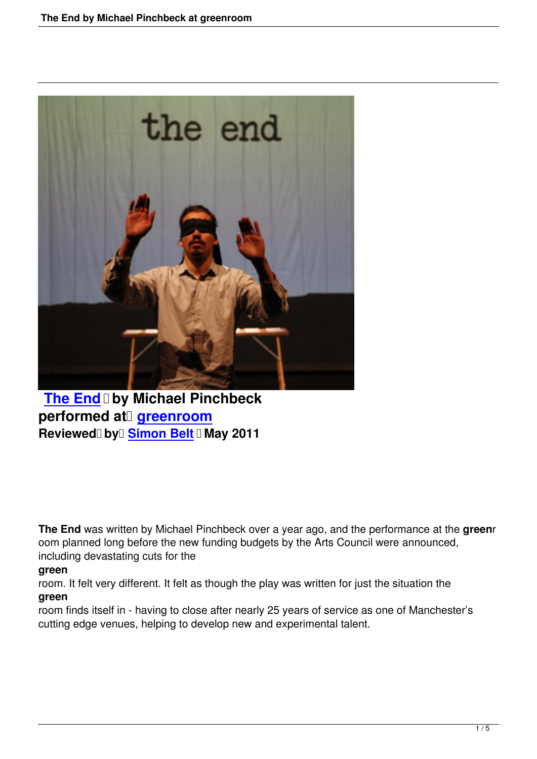

**The End by Michael Pinchbeck performed at** greenroom **Reviewed by Simon Belt May 2011** 

**The End** was written by Michael Pinchbeck over a year ago, and the performance at the **green**r oom planned long before the new funding budgets by the Arts Council were announced, including devastating cuts for the

## **green**

room. It felt very different. It felt as though the play was written for just the situation the **green**

room finds itself in - having to close after nearly 25 years of service as one of Manchester's cutting edge venues, helping to develop new and experimental talent.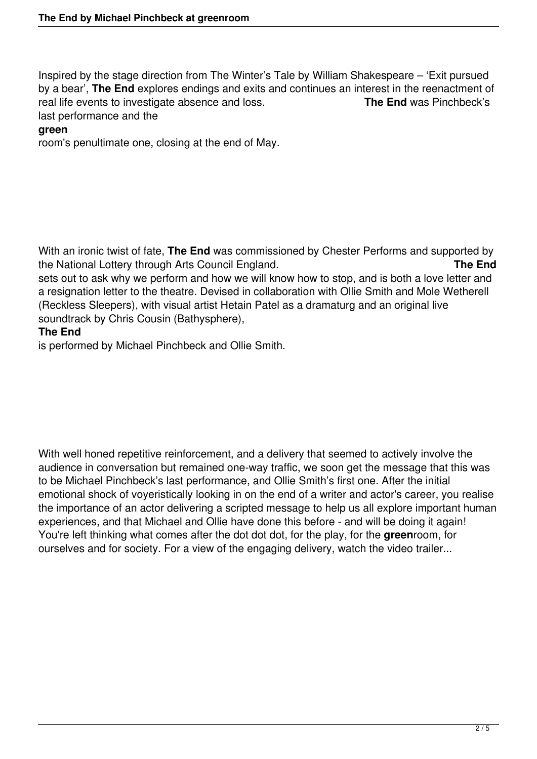Inspired by the stage direction from The Winter's Tale by William Shakespeare – 'Exit pursued by a bear', **The End** explores endings and exits and continues an interest in the reenactment of real life events to investigate absence and loss. **The End** was Pinchbeck's last performance and the

## **green**

room's penultimate one, closing at the end of May.

With an ironic twist of fate, **The End** was commissioned by Chester Performs and supported by the National Lottery through Arts Council England. **The End** sets out to ask why we perform and how we will know how to stop, and is both a love letter and a resignation letter to the theatre. Devised in collaboration with Ollie Smith and Mole Wetherell

(Reckless Sleepers), with visual artist Hetain Patel as a dramaturg and an original live soundtrack by Chris Cousin (Bathysphere),

## **The End**

is performed by Michael Pinchbeck and Ollie Smith.

With well honed repetitive reinforcement, and a delivery that seemed to actively involve the audience in conversation but remained one-way traffic, we soon get the message that this was to be Michael Pinchbeck's last performance, and Ollie Smith's first one. After the initial emotional shock of voyeristically looking in on the end of a writer and actor's career, you realise the importance of an actor delivering a scripted message to help us all explore important human experiences, and that Michael and Ollie have done this before - and will be doing it again! You're left thinking what comes after the dot dot dot, for the play, for the **green**room, for ourselves and for society. For a view of the engaging delivery, watch the video trailer...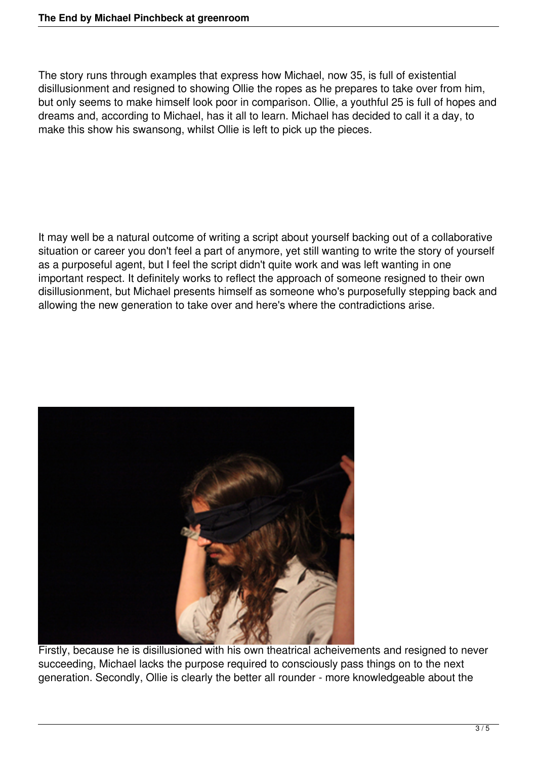The story runs through examples that express how Michael, now 35, is full of existential disillusionment and resigned to showing Ollie the ropes as he prepares to take over from him, but only seems to make himself look poor in comparison. Ollie, a youthful 25 is full of hopes and dreams and, according to Michael, has it all to learn. Michael has decided to call it a day, to make this show his swansong, whilst Ollie is left to pick up the pieces.

It may well be a natural outcome of writing a script about yourself backing out of a collaborative situation or career you don't feel a part of anymore, yet still wanting to write the story of yourself as a purposeful agent, but I feel the script didn't quite work and was left wanting in one important respect. It definitely works to reflect the approach of someone resigned to their own disillusionment, but Michael presents himself as someone who's purposefully stepping back and allowing the new generation to take over and here's where the contradictions arise.



Firstly, because he is disillusioned with his own theatrical acheivements and resigned to never succeeding, Michael lacks the purpose required to consciously pass things on to the next generation. Secondly, Ollie is clearly the better all rounder - more knowledgeable about the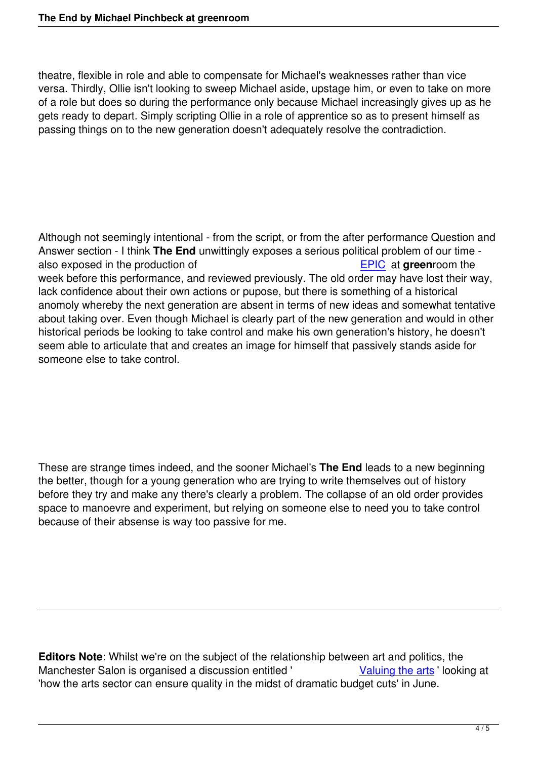theatre, flexible in role and able to compensate for Michael's weaknesses rather than vice versa. Thirdly, Ollie isn't looking to sweep Michael aside, upstage him, or even to take on more of a role but does so during the performance only because Michael increasingly gives up as he gets ready to depart. Simply scripting Ollie in a role of apprentice so as to present himself as passing things on to the new generation doesn't adequately resolve the contradiction.

Although not seemingly intentional - from the script, or from the after performance Question and Answer section - I think **The End** unwittingly exposes a serious political problem of our time also exposed in the production of **EPIC** at **green**room the week before this performance, and reviewed previously. The old order may have lost their way, lack confidence about their own actions or pupose, but there is something of a historical anomoly whereby the next generation are absent in terms of new i[deas a](epic-foster-dechery-greenroom.html)nd somewhat tentative about taking over. Even though Michael is clearly part of the new generation and would in other historical periods be looking to take control and make his own generation's history, he doesn't seem able to articulate that and creates an image for himself that passively stands aside for someone else to take control.

These are strange times indeed, and the sooner Michael's **The End** leads to a new beginning the better, though for a young generation who are trying to write themselves out of history before they try and make any there's clearly a problem. The collapse of an old order provides space to manoevre and experiment, but relying on someone else to need you to take control because of their absense is way too passive for me.

**Editors Note**: Whilst we're on the subject of the relationship between art and politics, the Manchester Salon is organised a discussion entitled ' Valuing the arts I looking at 'how the arts sector can ensure quality in the midst of dramatic budget cuts' in June.